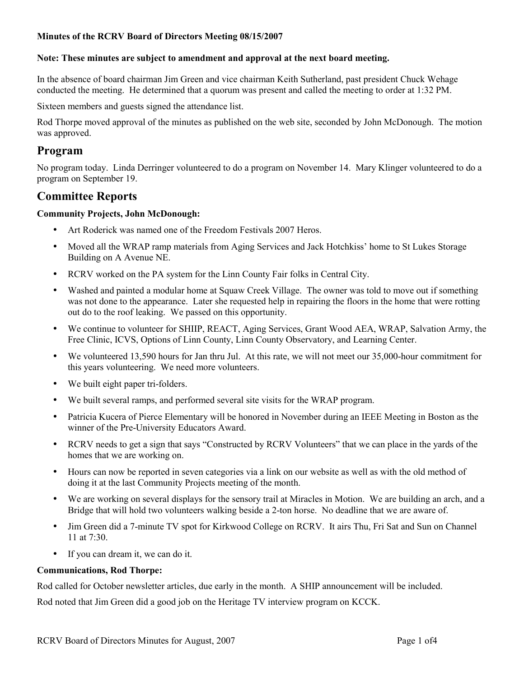### **Note: These minutes are subject to amendment and approval at the next board meeting.**

In the absence of board chairman Jim Green and vice chairman Keith Sutherland, past president Chuck Wehage conducted the meeting. He determined that a quorum was present and called the meeting to order at 1:32 PM.

Sixteen members and guests signed the attendance list.

Rod Thorpe moved approval of the minutes as published on the web site, seconded by John McDonough. The motion was approved.

# **Program**

No program today. Linda Derringer volunteered to do a program on November 14. Mary Klinger volunteered to do a program on September 19.

# **Committee Reports**

## **Community Projects, John McDonough:**

- Art Roderick was named one of the Freedom Festivals 2007 Heros.
- Moved all the WRAP ramp materials from Aging Services and Jack Hotchkiss' home to St Lukes Storage Building on A Avenue NE.
- RCRV worked on the PA system for the Linn County Fair folks in Central City.
- Washed and painted a modular home at Squaw Creek Village. The owner was told to move out if something was not done to the appearance. Later she requested help in repairing the floors in the home that were rotting out do to the roof leaking. We passed on this opportunity.
- We continue to volunteer for SHIIP, REACT, Aging Services, Grant Wood AEA, WRAP, Salvation Army, the Free Clinic, ICVS, Options of Linn County, Linn County Observatory, and Learning Center.
- We volunteered 13,590 hours for Jan thru Jul. At this rate, we will not meet our 35,000-hour commitment for this years volunteering. We need more volunteers.
- We built eight paper tri-folders.
- We built several ramps, and performed several site visits for the WRAP program.
- Patricia Kucera of Pierce Elementary will be honored in November during an IEEE Meeting in Boston as the winner of the Pre-University Educators Award.
- RCRV needs to get a sign that says "Constructed by RCRV Volunteers" that we can place in the yards of the homes that we are working on.
- Hours can now be reported in seven categories via a link on our website as well as with the old method of doing it at the last Community Projects meeting of the month.
- We are working on several displays for the sensory trail at Miracles in Motion. We are building an arch, and a Bridge that will hold two volunteers walking beside a 2-ton horse. No deadline that we are aware of.
- Jim Green did a 7-minute TV spot for Kirkwood College on RCRV. It airs Thu, Fri Sat and Sun on Channel 11 at 7:30.
- If you can dream it, we can do it.

### **Communications, Rod Thorpe:**

Rod called for October newsletter articles, due early in the month. A SHIP announcement will be included.

Rod noted that Jim Green did a good job on the Heritage TV interview program on KCCK.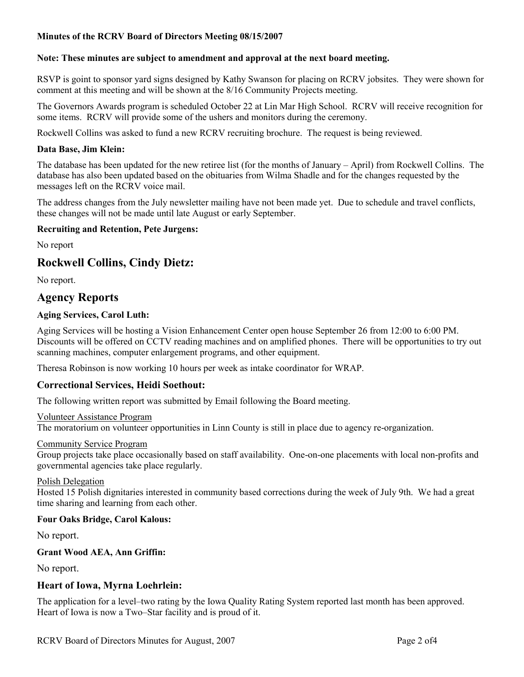## **Note: These minutes are subject to amendment and approval at the next board meeting.**

RSVP is goint to sponsor yard signs designed by Kathy Swanson for placing on RCRV jobsites. They were shown for comment at this meeting and will be shown at the 8/16 Community Projects meeting.

The Governors Awards program is scheduled October 22 at Lin Mar High School. RCRV will receive recognition for some items. RCRV will provide some of the ushers and monitors during the ceremony.

Rockwell Collins was asked to fund a new RCRV recruiting brochure. The request is being reviewed.

## **Data Base, Jim Klein:**

The database has been updated for the new retiree list (for the months of January – April) from Rockwell Collins. The database has also been updated based on the obituaries from Wilma Shadle and for the changes requested by the messages left on the RCRV voice mail.

The address changes from the July newsletter mailing have not been made yet. Due to schedule and travel conflicts, these changes will not be made until late August or early September.

# **Recruiting and Retention, Pete Jurgens:**

No report

# **Rockwell Collins, Cindy Dietz:**

No report.

# **Agency Reports**

# **Aging Services, Carol Luth:**

Aging Services will be hosting a Vision Enhancement Center open house September 26 from 12:00 to 6:00 PM. Discounts will be offered on CCTV reading machines and on amplified phones. There will be opportunities to try out scanning machines, computer enlargement programs, and other equipment.

Theresa Robinson is now working 10 hours per week as intake coordinator for WRAP.

# **Correctional Services, Heidi Soethout:**

The following written report was submitted by Email following the Board meeting.

#### Volunteer Assistance Program

The moratorium on volunteer opportunities in Linn County is still in place due to agency re-organization.

#### Community Service Program

Group projects take place occasionally based on staff availability. One-on-one placements with local non-profits and governmental agencies take place regularly.

### Polish Delegation

Hosted 15 Polish dignitaries interested in community based corrections during the week of July 9th. We had a great time sharing and learning from each other.

### **Four Oaks Bridge, Carol Kalous:**

No report.

### **Grant Wood AEA, Ann Griffin:**

No report.

# **Heart of Iowa, Myrna Loehrlein:**

The application for a level–two rating by the Iowa Quality Rating System reported last month has been approved. Heart of Iowa is now a Two–Star facility and is proud of it.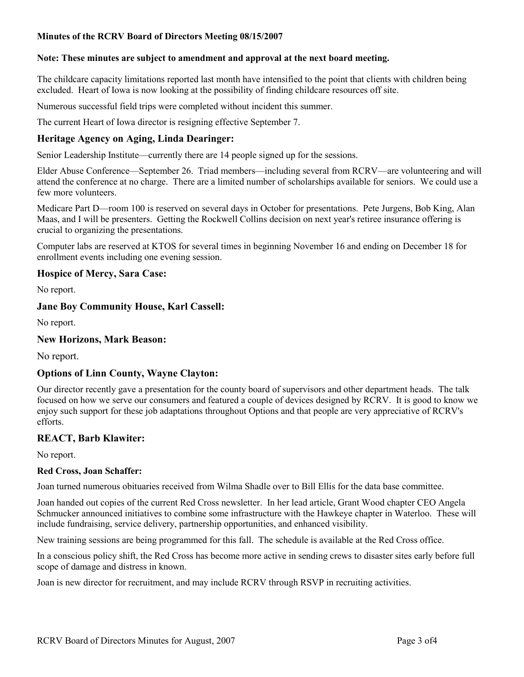## **Note: These minutes are subject to amendment and approval at the next board meeting.**

The childcare capacity limitations reported last month have intensified to the point that clients with children being excluded. Heart of Iowa is now looking at the possibility of finding childcare resources off site.

Numerous successful field trips were completed without incident this summer.

The current Heart of Iowa director is resigning effective September 7.

# **Heritage Agency on Aging, Linda Dearinger:**

Senior Leadership Institute—currently there are 14 people signed up for the sessions.

Elder Abuse Conference—September 26. Triad members—including several from RCRV—are volunteering and will attend the conference at no charge. There are a limited number of scholarships available for seniors. We could use a few more volunteers.

Medicare Part D—room 100 is reserved on several days in October for presentations. Pete Jurgens, Bob King, Alan Maas, and I will be presenters. Getting the Rockwell Collins decision on next year's retiree insurance offering is crucial to organizing the presentations.

Computer labs are reserved at KTOS for several times in beginning November 16 and ending on December 18 for enrollment events including one evening session.

# **Hospice of Mercy, Sara Case:**

No report.

# **Jane Boy Community House, Karl Cassell:**

No report.

## **New Horizons, Mark Beason:**

No report.

### **Options of Linn County, Wayne Clayton:**

Our director recently gave a presentation for the county board of supervisors and other department heads. The talk focused on how we serve our consumers and featured a couple of devices designed by RCRV. It is good to know we enjoy such support for these job adaptations throughout Options and that people are very appreciative of RCRV's efforts.

### **REACT, Barb Klawiter:**

No report.

### **Red Cross, Joan Schaffer:**

Joan turned numerous obituaries received from Wilma Shadle over to Bill Ellis for the data base committee.

Joan handed out copies of the current Red Cross newsletter. In her lead article, Grant Wood chapter CEO Angela Schmucker announced initiatives to combine some infrastructure with the Hawkeye chapter in Waterloo. These will include fundraising, service delivery, partnership opportunities, and enhanced visibility.

New training sessions are being programmed for this fall. The schedule is available at the Red Cross office.

In a conscious policy shift, the Red Cross has become more active in sending crews to disaster sites early before full scope of damage and distress in known.

Joan is new director for recruitment, and may include RCRV through RSVP in recruiting activities.